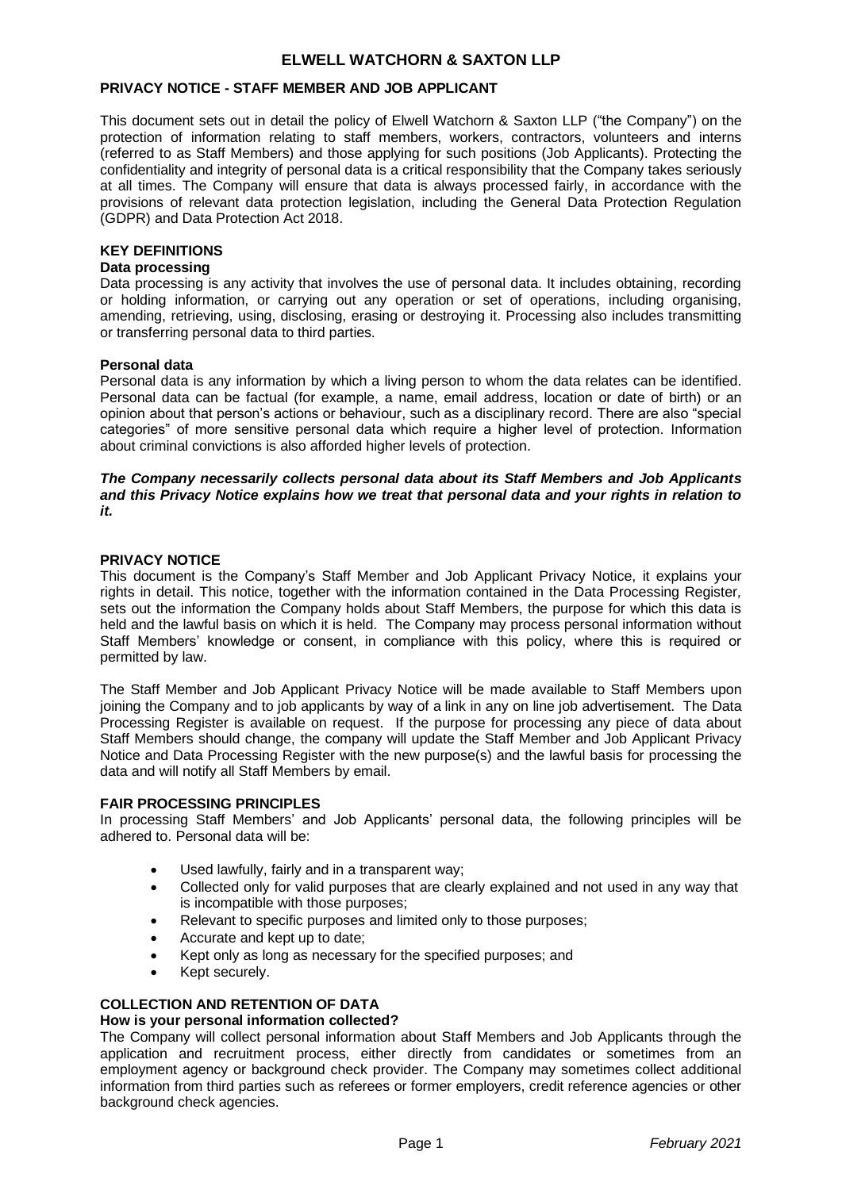### **PRIVACY NOTICE - STAFF MEMBER AND JOB APPLICANT**

This document sets out in detail the policy of Elwell Watchorn & Saxton LLP ("the Company") on the protection of information relating to staff members, workers, contractors, volunteers and interns (referred to as Staff Members) and those applying for such positions (Job Applicants). Protecting the confidentiality and integrity of personal data is a critical responsibility that the Company takes seriously at all times. The Company will ensure that data is always processed fairly, in accordance with the provisions of relevant data protection legislation, including the General Data Protection Regulation (GDPR) and Data Protection Act 2018.

### **KEY DEFINITIONS**

### **Data processing**

Data processing is any activity that involves the use of personal data. It includes obtaining, recording or holding information, or carrying out any operation or set of operations, including organising, amending, retrieving, using, disclosing, erasing or destroying it. Processing also includes transmitting or transferring personal data to third parties.

### **Personal data**

Personal data is any information by which a living person to whom the data relates can be identified. Personal data can be factual (for example, a name, email address, location or date of birth) or an opinion about that person's actions or behaviour, such as a disciplinary record. There are also "special categories" of more sensitive personal data which require a higher level of protection. Information about criminal convictions is also afforded higher levels of protection.

### *The Company necessarily collects personal data about its Staff Members and Job Applicants and this Privacy Notice explains how we treat that personal data and your rights in relation to it.*

#### **PRIVACY NOTICE**

This document is the Company's Staff Member and Job Applicant Privacy Notice, it explains your rights in detail. This notice, together with the information contained in the Data Processing Register*,* sets out the information the Company holds about Staff Members, the purpose for which this data is held and the lawful basis on which it is held. The Company may process personal information without Staff Members' knowledge or consent, in compliance with this policy, where this is required or permitted by law.

The Staff Member and Job Applicant Privacy Notice will be made available to Staff Members upon joining the Company and to job applicants by way of a link in any on line job advertisement. The Data Processing Register is available on request. If the purpose for processing any piece of data about Staff Members should change, the company will update the Staff Member and Job Applicant Privacy Notice and Data Processing Register with the new purpose(s) and the lawful basis for processing the data and will notify all Staff Members by email.

#### **FAIR PROCESSING PRINCIPLES**

In processing Staff Members' and Job Applicants' personal data, the following principles will be adhered to. Personal data will be:

- Used lawfully, fairly and in a transparent way;
- Collected only for valid purposes that are clearly explained and not used in any way that is incompatible with those purposes;
- Relevant to specific purposes and limited only to those purposes;
- Accurate and kept up to date;
- Kept only as long as necessary for the specified purposes; and
- Kept securely.

# **COLLECTION AND RETENTION OF DATA**

### **How is your personal information collected?**

The Company will collect personal information about Staff Members and Job Applicants through the application and recruitment process, either directly from candidates or sometimes from an employment agency or background check provider. The Company may sometimes collect additional information from third parties such as referees or former employers, credit reference agencies or other background check agencies.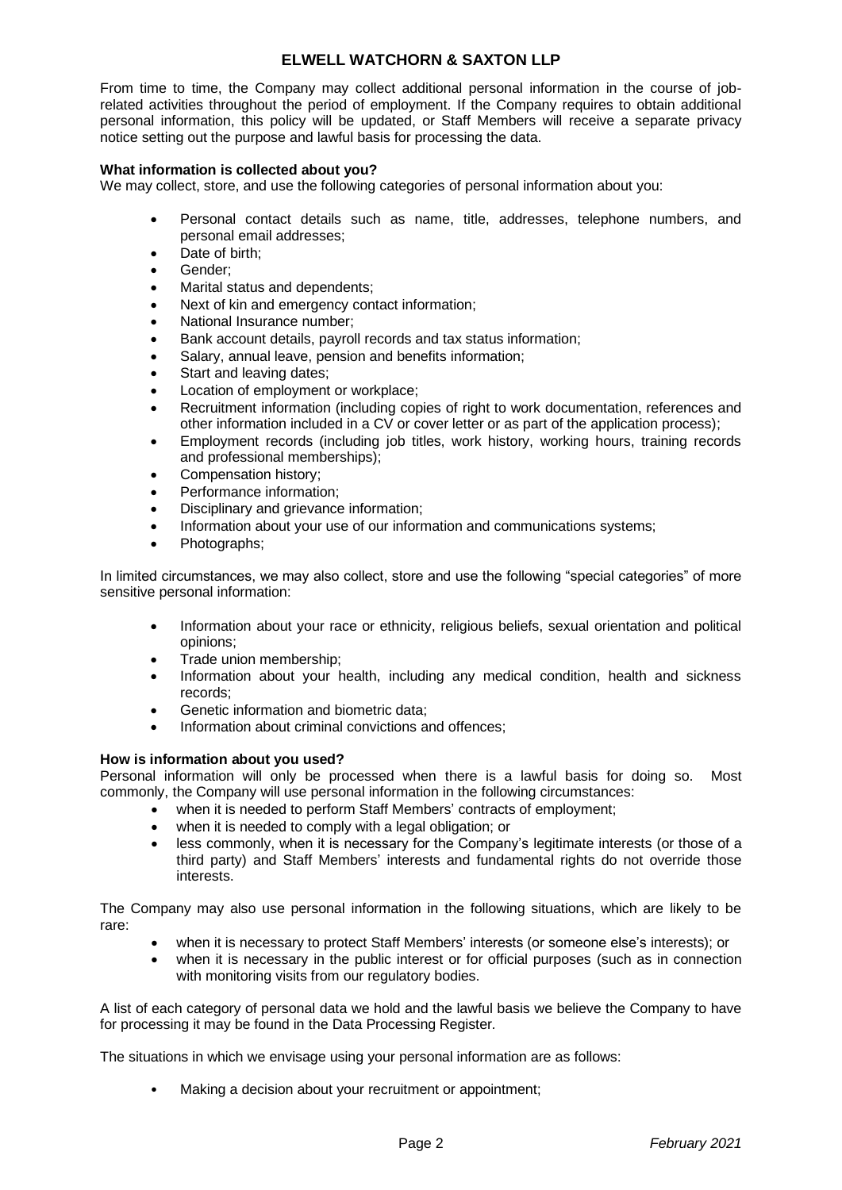From time to time, the Company may collect additional personal information in the course of jobrelated activities throughout the period of employment. If the Company requires to obtain additional personal information, this policy will be updated, or Staff Members will receive a separate privacy notice setting out the purpose and lawful basis for processing the data.

## **What information is collected about you?**

We may collect, store, and use the following categories of personal information about you:

- Personal contact details such as name, title, addresses, telephone numbers, and personal email addresses;
- Date of birth;
- Gender;
- Marital status and dependents;
- Next of kin and emergency contact information;
- National Insurance number;
- Bank account details, payroll records and tax status information;
- Salary, annual leave, pension and benefits information;
- Start and leaving dates;
- Location of employment or workplace:
- Recruitment information (including copies of right to work documentation, references and other information included in a CV or cover letter or as part of the application process);
- Employment records (including job titles, work history, working hours, training records and professional memberships);
- Compensation history;
- Performance information;
- Disciplinary and grievance information;
- Information about your use of our information and communications systems:
- Photographs:

In limited circumstances, we may also collect, store and use the following "special categories" of more sensitive personal information:

- Information about your race or ethnicity, religious beliefs, sexual orientation and political opinions;
- Trade union membership;
- Information about your health, including any medical condition, health and sickness records;
- Genetic information and biometric data;
- Information about criminal convictions and offences;

#### **How is information about you used?**

Personal information will only be processed when there is a lawful basis for doing so. Most commonly, the Company will use personal information in the following circumstances:

- when it is needed to perform Staff Members' contracts of employment;
- when it is needed to comply with a legal obligation; or
- less commonly, when it is necessary for the Company's legitimate interests (or those of a third party) and Staff Members' interests and fundamental rights do not override those interests.

The Company may also use personal information in the following situations, which are likely to be rare:

- when it is necessary to protect Staff Members' interests (or someone else's interests); or
- when it is necessary in the public interest or for official purposes (such as in connection with monitoring visits from our regulatory bodies.

A list of each category of personal data we hold and the lawful basis we believe the Company to have for processing it may be found in the Data Processing Register*.*

The situations in which we envisage using your personal information are as follows:

Making a decision about your recruitment or appointment;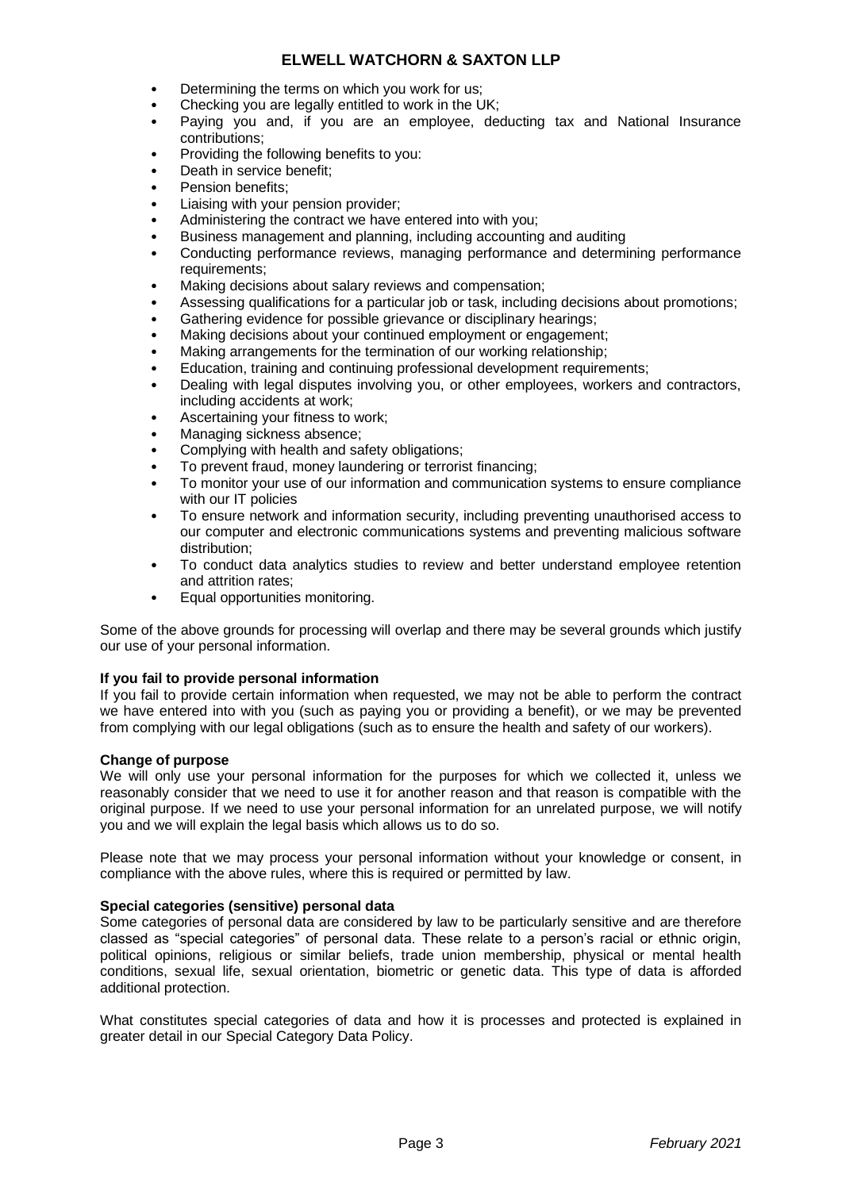- Determining the terms on which you work for us:
- Checking you are legally entitled to work in the UK;
- Paying you and, if you are an employee, deducting tax and National Insurance contributions;
- Providing the following benefits to you:
- Death in service benefit:
- Pension benefits:
- Liaising with your pension provider;
- Administering the contract we have entered into with you;
- Business management and planning, including accounting and auditing
- Conducting performance reviews, managing performance and determining performance requirements;
- Making decisions about salary reviews and compensation:
- Assessing qualifications for a particular job or task, including decisions about promotions;
- Gathering evidence for possible grievance or disciplinary hearings;
- Making decisions about your continued employment or engagement;
- Making arrangements for the termination of our working relationship;
- Education, training and continuing professional development requirements;
- Dealing with legal disputes involving you, or other employees, workers and contractors, including accidents at work;
- Ascertaining your fitness to work;
- Managing sickness absence;
- Complying with health and safety obligations;
- To prevent fraud, money laundering or terrorist financing;
- To monitor your use of our information and communication systems to ensure compliance with our IT policies
- To ensure network and information security, including preventing unauthorised access to our computer and electronic communications systems and preventing malicious software distribution;
- To conduct data analytics studies to review and better understand employee retention and attrition rates;
- Equal opportunities monitoring.

Some of the above grounds for processing will overlap and there may be several grounds which justify our use of your personal information.

#### **If you fail to provide personal information**

If you fail to provide certain information when requested, we may not be able to perform the contract we have entered into with you (such as paying you or providing a benefit), or we may be prevented from complying with our legal obligations (such as to ensure the health and safety of our workers).

#### **Change of purpose**

We will only use your personal information for the purposes for which we collected it, unless we reasonably consider that we need to use it for another reason and that reason is compatible with the original purpose. If we need to use your personal information for an unrelated purpose, we will notify you and we will explain the legal basis which allows us to do so.

Please note that we may process your personal information without your knowledge or consent, in compliance with the above rules, where this is required or permitted by law.

#### **Special categories (sensitive) personal data**

Some categories of personal data are considered by law to be particularly sensitive and are therefore classed as "special categories" of personal data. These relate to a person's racial or ethnic origin, political opinions, religious or similar beliefs, trade union membership, physical or mental health conditions, sexual life, sexual orientation, biometric or genetic data. This type of data is afforded additional protection.

What constitutes special categories of data and how it is processes and protected is explained in greater detail in our Special Category Data Policy.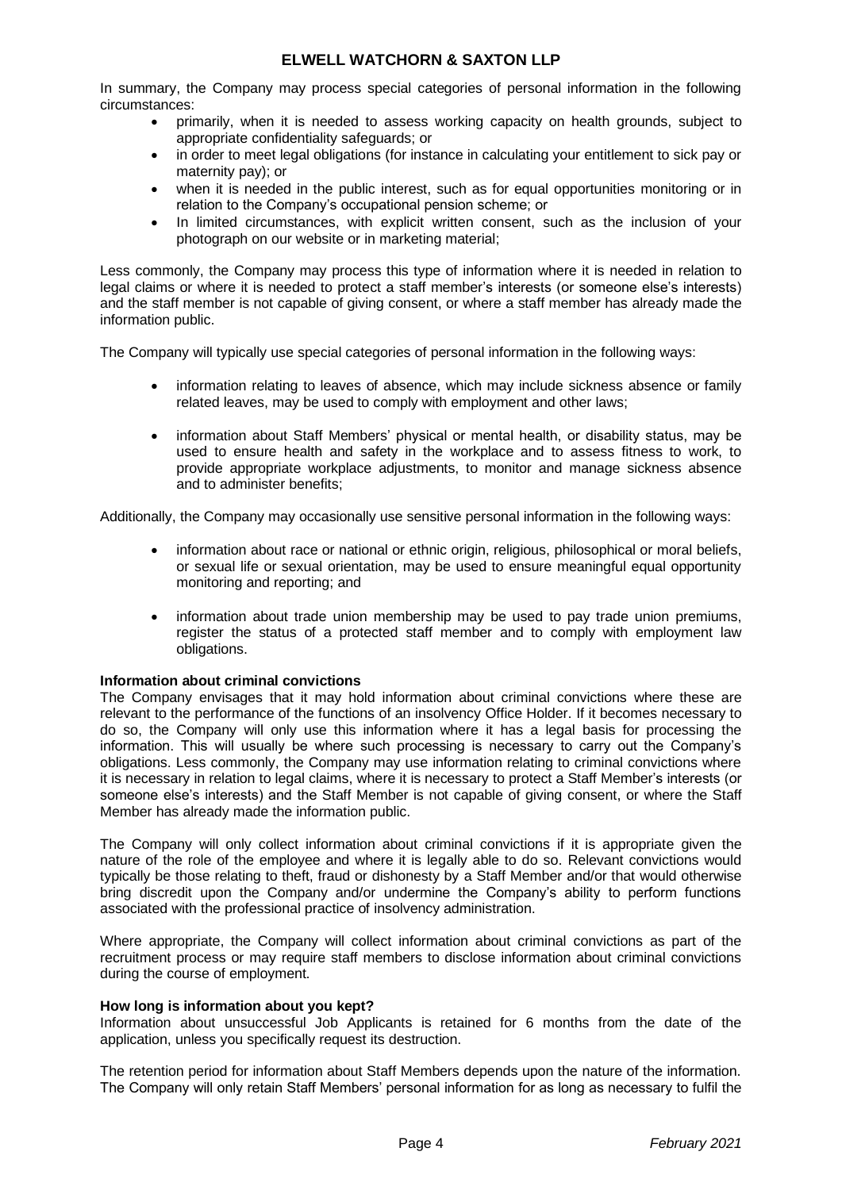In summary, the Company may process special categories of personal information in the following circumstances:

- primarily, when it is needed to assess working capacity on health grounds, subject to appropriate confidentiality safeguards; or
- in order to meet legal obligations (for instance in calculating your entitlement to sick pay or maternity pay); or
- when it is needed in the public interest, such as for equal opportunities monitoring or in relation to the Company's occupational pension scheme; or
- In limited circumstances, with explicit written consent, such as the inclusion of your photograph on our website or in marketing material;

Less commonly, the Company may process this type of information where it is needed in relation to legal claims or where it is needed to protect a staff member's interests (or someone else's interests) and the staff member is not capable of giving consent, or where a staff member has already made the information public.

The Company will typically use special categories of personal information in the following ways:

- information relating to leaves of absence, which may include sickness absence or family related leaves, may be used to comply with employment and other laws;
- information about Staff Members' physical or mental health, or disability status, may be used to ensure health and safety in the workplace and to assess fitness to work, to provide appropriate workplace adjustments, to monitor and manage sickness absence and to administer benefits;

Additionally, the Company may occasionally use sensitive personal information in the following ways:

- information about race or national or ethnic origin, religious, philosophical or moral beliefs, or sexual life or sexual orientation, may be used to ensure meaningful equal opportunity monitoring and reporting; and
- information about trade union membership may be used to pay trade union premiums, register the status of a protected staff member and to comply with employment law obligations.

## **Information about criminal convictions**

The Company envisages that it may hold information about criminal convictions where these are relevant to the performance of the functions of an insolvency Office Holder. If it becomes necessary to do so, the Company will only use this information where it has a legal basis for processing the information. This will usually be where such processing is necessary to carry out the Company's obligations. Less commonly, the Company may use information relating to criminal convictions where it is necessary in relation to legal claims, where it is necessary to protect a Staff Member's interests (or someone else's interests) and the Staff Member is not capable of giving consent, or where the Staff Member has already made the information public.

The Company will only collect information about criminal convictions if it is appropriate given the nature of the role of the employee and where it is legally able to do so. Relevant convictions would typically be those relating to theft, fraud or dishonesty by a Staff Member and/or that would otherwise bring discredit upon the Company and/or undermine the Company's ability to perform functions associated with the professional practice of insolvency administration.

Where appropriate, the Company will collect information about criminal convictions as part of the recruitment process or may require staff members to disclose information about criminal convictions during the course of employment.

#### **How long is information about you kept?**

Information about unsuccessful Job Applicants is retained for 6 months from the date of the application, unless you specifically request its destruction.

The retention period for information about Staff Members depends upon the nature of the information. The Company will only retain Staff Members' personal information for as long as necessary to fulfil the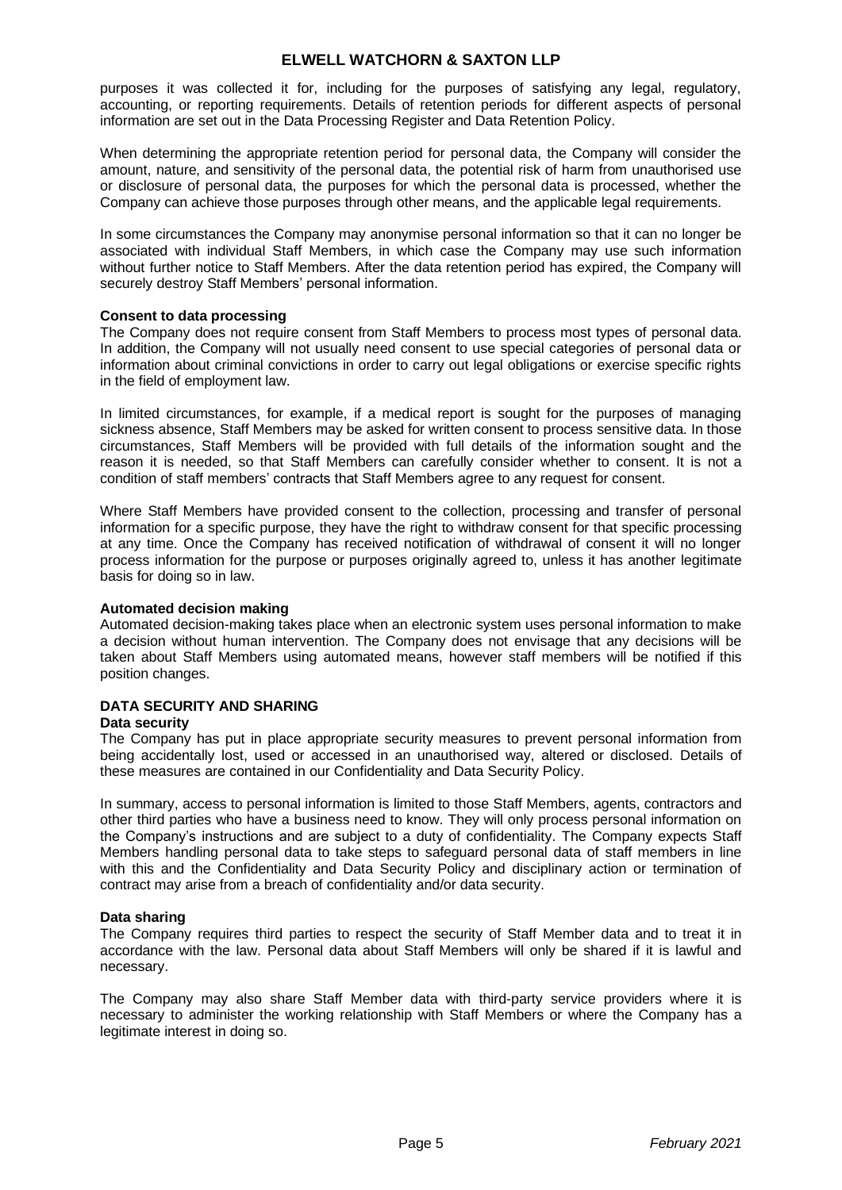purposes it was collected it for, including for the purposes of satisfying any legal, regulatory, accounting, or reporting requirements. Details of retention periods for different aspects of personal information are set out in the Data Processing Register and Data Retention Policy.

When determining the appropriate retention period for personal data, the Company will consider the amount, nature, and sensitivity of the personal data, the potential risk of harm from unauthorised use or disclosure of personal data, the purposes for which the personal data is processed, whether the Company can achieve those purposes through other means, and the applicable legal requirements.

In some circumstances the Company may anonymise personal information so that it can no longer be associated with individual Staff Members, in which case the Company may use such information without further notice to Staff Members. After the data retention period has expired, the Company will securely destroy Staff Members' personal information.

### **Consent to data processing**

The Company does not require consent from Staff Members to process most types of personal data. In addition, the Company will not usually need consent to use special categories of personal data or information about criminal convictions in order to carry out legal obligations or exercise specific rights in the field of employment law.

In limited circumstances, for example, if a medical report is sought for the purposes of managing sickness absence, Staff Members may be asked for written consent to process sensitive data. In those circumstances, Staff Members will be provided with full details of the information sought and the reason it is needed, so that Staff Members can carefully consider whether to consent. It is not a condition of staff members' contracts that Staff Members agree to any request for consent.

Where Staff Members have provided consent to the collection, processing and transfer of personal information for a specific purpose, they have the right to withdraw consent for that specific processing at any time. Once the Company has received notification of withdrawal of consent it will no longer process information for the purpose or purposes originally agreed to, unless it has another legitimate basis for doing so in law.

## **Automated decision making**

Automated decision-making takes place when an electronic system uses personal information to make a decision without human intervention. The Company does not envisage that any decisions will be taken about Staff Members using automated means, however staff members will be notified if this position changes.

## **DATA SECURITY AND SHARING**

#### **Data security**

The Company has put in place appropriate security measures to prevent personal information from being accidentally lost, used or accessed in an unauthorised way, altered or disclosed. Details of these measures are contained in our Confidentiality and Data Security Policy.

In summary, access to personal information is limited to those Staff Members, agents, contractors and other third parties who have a business need to know. They will only process personal information on the Company's instructions and are subject to a duty of confidentiality. The Company expects Staff Members handling personal data to take steps to safeguard personal data of staff members in line with this and the Confidentiality and Data Security Policy and disciplinary action or termination of contract may arise from a breach of confidentiality and/or data security.

## **Data sharing**

The Company requires third parties to respect the security of Staff Member data and to treat it in accordance with the law. Personal data about Staff Members will only be shared if it is lawful and necessary.

The Company may also share Staff Member data with third-party service providers where it is necessary to administer the working relationship with Staff Members or where the Company has a legitimate interest in doing so.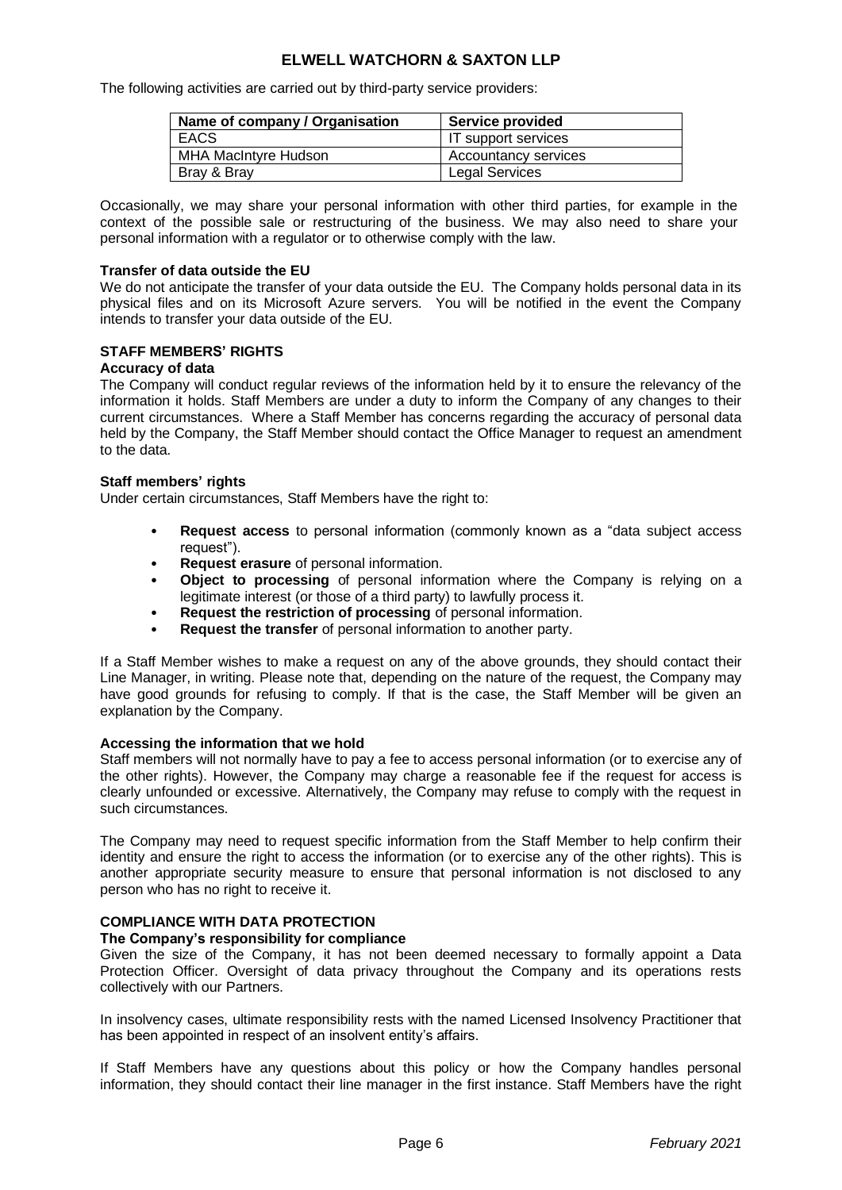The following activities are carried out by third-party service providers:

| Name of company / Organisation | <b>Service provided</b>     |
|--------------------------------|-----------------------------|
| <b>EACS</b>                    | IT support services         |
| <b>MHA MacIntyre Hudson</b>    | <b>Accountancy services</b> |
| Bray & Bray                    | <b>Legal Services</b>       |

Occasionally, we may share your personal information with other third parties, for example in the context of the possible sale or restructuring of the business. We may also need to share your personal information with a regulator or to otherwise comply with the law.

### **Transfer of data outside the EU**

We do not anticipate the transfer of your data outside the EU. The Company holds personal data in its physical files and on its Microsoft Azure servers. You will be notified in the event the Company intends to transfer your data outside of the EU.

## **STAFF MEMBERS' RIGHTS**

#### **Accuracy of data**

The Company will conduct regular reviews of the information held by it to ensure the relevancy of the information it holds. Staff Members are under a duty to inform the Company of any changes to their current circumstances. Where a Staff Member has concerns regarding the accuracy of personal data held by the Company, the Staff Member should contact the Office Manager to request an amendment to the data.

#### **Staff members' rights**

Under certain circumstances, Staff Members have the right to:

- **Request access** to personal information (commonly known as a "data subject access request").
- **Request erasure** of personal information.
- **Object to processing** of personal information where the Company is relying on a legitimate interest (or those of a third party) to lawfully process it.
- **Request the restriction of processing** of personal information.
- **Request the transfer** of personal information to another party.

If a Staff Member wishes to make a request on any of the above grounds, they should contact their Line Manager, in writing. Please note that, depending on the nature of the request, the Company may have good grounds for refusing to comply. If that is the case, the Staff Member will be given an explanation by the Company.

### **Accessing the information that we hold**

Staff members will not normally have to pay a fee to access personal information (or to exercise any of the other rights). However, the Company may charge a reasonable fee if the request for access is clearly unfounded or excessive. Alternatively, the Company may refuse to comply with the request in such circumstances.

The Company may need to request specific information from the Staff Member to help confirm their identity and ensure the right to access the information (or to exercise any of the other rights). This is another appropriate security measure to ensure that personal information is not disclosed to any person who has no right to receive it.

# **COMPLIANCE WITH DATA PROTECTION**

## **The Company's responsibility for compliance**

Given the size of the Company, it has not been deemed necessary to formally appoint a Data Protection Officer. Oversight of data privacy throughout the Company and its operations rests collectively with our Partners.

In insolvency cases, ultimate responsibility rests with the named Licensed Insolvency Practitioner that has been appointed in respect of an insolvent entity's affairs.

If Staff Members have any questions about this policy or how the Company handles personal information, they should contact their line manager in the first instance. Staff Members have the right